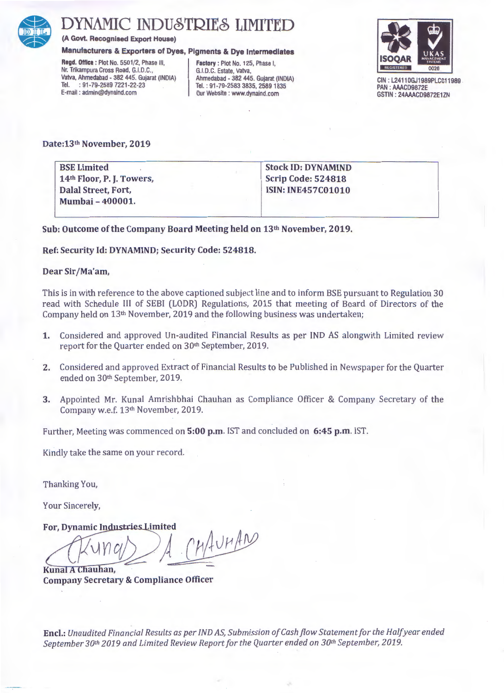

# DYNAMIC INDUSTRIES LIMITED

(A Govt. Recognised Export House)

# Manufacturers & Exporters of Dyes, Pigments & Dye Intermediates

Ragd. Office : Plot No. 5501/2, Phase Ill, Nr. Trikampura Cross Road, G.l.D.C., Vatva, Ahmadabad - 382 445. Gujarat (INDIA) Tel. : 91-79-2589 7221 -22-23 E-mail : admin@dynaind.com

Factory : Plot No. 125, Phase I, G.l.D.C. Estate, Vatva, Ahmadabad - 382 445. Gujarat (INDIA) Tel. : 91-79-2583 3835, 2589 1835 Our Website : www.dynaind.com



CIN : L2411OGJ1989PLC011989 PAN : AAACD9872E GSTIN : 24AAACD9872E1ZN

# Date:13th November, 2019

BSE Limited 14th Floor, P. J. Towers, Dalal Street, Fort, Mumbai-400001.

Stock ID: DYNAMIND Scrip Code: 524818 ISIN: INE457C01010

Sub: Outcome of the Company Board Meeting held on 13<sup>th</sup> November, 2019.

Ref: Security Id: DYNAMIND; Security Code: 524818.

## Dear Sir /Ma'am,

This is in with reference to the above captioned subject line and to inform BSE pursuant to Regulation 30 read with Schedule Ill of SEBI (LODR) Regulations, 2015 that meeting of Board of Directors of the Company held on  $13<sup>th</sup>$  November, 2019 and the following business was undertaken;

- 1. Considered and approved Un-audited Financial Results as per IND AS alongwith Limited review report for the Quarter ended on 30<sup>th</sup> September, 2019.
- 2. Considered and approved Extract of Financial Results to be Published in Newspaper for the Quarter ended on 30<sup>th</sup> September, 2019.
- 3. Appointed Mr. Kunal Amrishbhai Chauhan as Compliance Officer & Company Secretary of the Company w.e.f. 13<sup>th</sup> November, 2019.

Further, Meeting was commenced on 5:00 p.m. IST and concluded on 6:45 p.m. IST.

Kindly take the same on your record.

Thanking You,

Your Sincerely,

For, Dynamic Industries Limited

 $M_{\text{4}}$ UH AN Kunal A Chauhan,

Company Secretary & Compliance Officer

Encl.: *Unaudited Financial Results as per IND AS, Submission of Cash flow Statement for the Half year ended September 30th 2019 and Limited Review Report for the Quarter ended on 30th September, 2019.*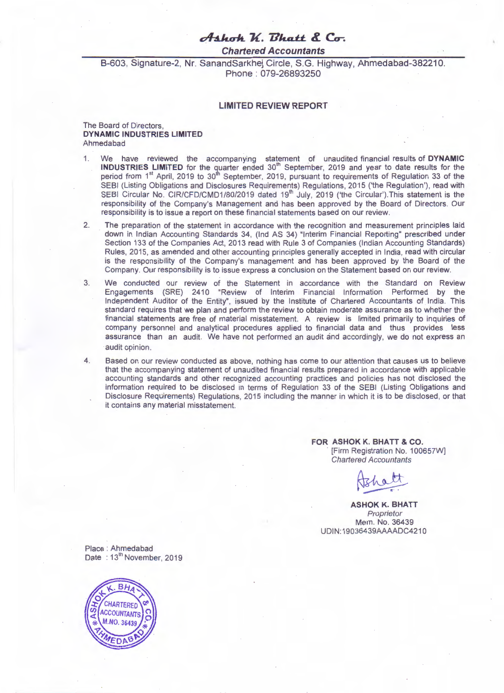# $A$ <sup>\*</sup> K. *Bhatt* & Co.

**Chartered Accountants** 

B-603, Signature-2, Nr. SanandSarkhej Circle, S.G. Highway, Ahmedabad-382210. Phone : 079-26893250

# **LIMITED REVIEW REPORT**

## The Board of Directors, **DYNAMIC INDUSTRIES LIMITED**  Ahmedabad

- 1. We have reviewed the accompanying statement of unaudited financial results of **DYNAMIC INDUSTRIES LIMITED** for the quarter ended 30<sup>th</sup> September, 2019 and year to date results for the period from 1<sup>st</sup> April, 2019 to 30<sup>th</sup> September, 2019, pursuant to requirements of Regulation 33 of the SEBI (Listing Obligations and Disclosures Requirements) Regulations, 2015 ('the Regulation'), read with SEBI Circular No. CIR/CFD/CMD1/80/2019 dated 19<sup>th</sup> July, 2019 ('the Circular'). This statement is the responsibility of the Company's Management and has been approved by the Board of Directors. Our responsibility is to issue a report on these financial statements based on our review.
- 2. The preparation of the statement in accordance with the recognition and measurement principles laid down in Indian Accounting Standards 34, (Ind AS 34) "Interim Financial Reporting" prescribed under Section 133 of the Companies Act, 2013 read with Rule 3 of Companies (Indian Accounting Standards) Rules, 2015, as amended and other accounting principles generally accepted in India, read with circular is the responsibility of the Company's management and has been approved by the Board of the Company. Our responsibility is to issue express a conclusion on the Statement based on our review.
- 3. We conducted our review of the Statement in accordance with the Standard on Review Engagements (SRE) 2410 "Review of Interim Financial Information Performed by the Independent Auditor of the Entity", issued by the Institute of Chartered Accountants of India. This standard requires that we plan and perform the review to obtain moderate assurance as to whether the financial statements are free of material misstatement. A review is limited primarily to inquiries of company personnel and analytical procedures applied to financial data and thus provides less assurance than an audit. We have not performed an audit and accordingly, we do not express an audit opinion.
- 4. Based on our review conducted as above, nothing has come to our attention that causes us to believe that the accompanying statement of unaudited financial results prepared in accordance with applicable accounting standards and other recognized accounting practices and policies has not disclosed the information required to be disclosed in terms of Regulation 33 of the SEBI (Listing Obligations and Disclosure Requirements) Regulations, 2015 including the manner in which it is to be disclosed, or that it contains any material misstatement.

**FOR ASHOK K. BHATT** & CO. [Firm Registration No. 100657W] Chartered Accountants

**ASHOK K. BHATT**  Proprietor Mem. No. 36439 UDIN: 19036439AAAADC4210

Place : Ahmedabad Date: 13<sup>th</sup> November, 2019

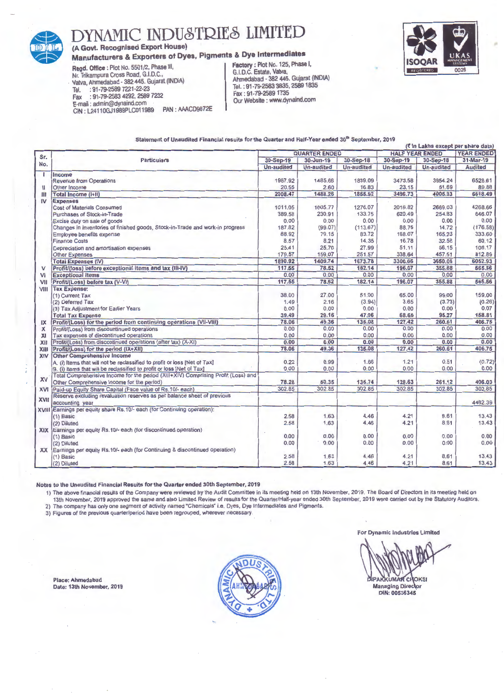

# DYNAMIC INDUSTRIES LIMITED

(A Govt. Recognised Export House)

# Manufacturers & Exporters of Dyes, Pigments & Dye Intermediates

Regd. Office: Plot No. 5501/2, Phase Ill, Nr. Trikampura Cross Road, G.l.D.C., - Vatva, Ahmedabad - 382 445. Gujarat (INDIA) Tel. : 91-79-2589 7221-22-23<br>Fax : 91-79-2583 4292, 2589 Fax : 91-79-2583 4292, 2589 7232 CIN: L24110GJ1989PLC011989 PAN: AAACD9872E Factory : Plot No. 125, Phase I, G.l.D.C. Estate, Vatva, Ahmedabad - 382 445. Gujarat (INDIA) Tel.: 91 -79-2583 3835, 25891835 Fax : 91-79-25891735 Our Website : www.dynaind.com



### Statement of Unaudited Financial results for the Quarter and Half-Year ended 30"' September, 2019

|           | (₹ In Lakhs except per share data)                                                |                      |                   |                   |                        |                   |                   |  |
|-----------|-----------------------------------------------------------------------------------|----------------------|-------------------|-------------------|------------------------|-------------------|-------------------|--|
|           |                                                                                   | <b>QUARTER ENDED</b> |                   |                   | <b>HALF YEAR ENDED</b> |                   | <b>YEAR ENDED</b> |  |
| Sr.       | <b>Particulars</b>                                                                | 30-Sep-19            | $30 - Jun - 19$   | 30-Sep-18         | 30-Sep-19              | 30-Sep-18         | 31-Mar-19         |  |
| No.       |                                                                                   | <b>Un-audited</b>    | <b>Un-audited</b> | <b>Un-audited</b> | <b>Un-audited</b>      | <b>Un-audited</b> | <b>Audited</b>    |  |
| т         | Income                                                                            |                      |                   |                   |                        |                   |                   |  |
|           | <b>Revenue from Operations</b>                                                    | 1987.92              | 1485.66           | 1839.09           | 3473.58                | 3954.24           | 6528.61           |  |
| н         | Other Income                                                                      | 20.55                | 2.60              | 16.83             | 23.15                  | 51.69             | 89.88             |  |
| Ш         | <b>Total Income (i+II)</b>                                                        | 2008.47              | 1488.26           | 1855.92           | 3496.73                | 4005.93           | 6618.49           |  |
| IV        | <b>Expenses</b>                                                                   |                      |                   |                   |                        |                   |                   |  |
|           | <b>Cost of Materials Consumed</b>                                                 | 1011.05              | 1005.77           | 1276.07           | 2016.82                | 2669.03           | 4268.66           |  |
|           | Purchases of Stock-in-Trade                                                       | 389.58               | 230.91            | 133.75            | 620.49                 | 254.83            | 646.07            |  |
|           | Excise duty on sale of goods                                                      | 0.00                 | 0.00              | 0.00              | 0.00                   | 0.00              | 0.00              |  |
|           | Changes in inventories of finished goods, Stock-in-Trade and work-in progress     | 187.82               | (99.07)           | (113.67)          | 88.75                  | 14.72             | (176.58)          |  |
|           | Employee benefits expense                                                         | 88.92                | 79.15             | 83.72             | 168.07                 | 165.23            | 333.60            |  |
|           | <b>Finance Costs</b>                                                              | 8.57                 | 8.21              | 14.35             | 16.78                  | 32.58             | 60.12             |  |
|           | Depreciation and amortisation expenses                                            | 25.41                | 25.70             | 27.99             | 51.11                  | 56.15             | 108.17            |  |
|           | <b>Other Expenses</b>                                                             | 179.57               | 159.07            | 251.57            | 338.64                 | 457.51            | 812.89            |  |
|           | <b>Total Expenses (IV)</b>                                                        | 1890.92              | 1409.74           | 1673.78           | 3300.66                | 3650.05           | 6052.93           |  |
| V         | Profit/(loss) before exceptional items and tax (III-IV)                           | 117.55               | 78.52             | 182.14            | 196.07                 | 355.88            | 565.56            |  |
| VI        | <b>Exceptional Items</b>                                                          | 0.00                 | 0.00              | 0.00              | 0.00                   | 0.00              | 0.00              |  |
| VII       | Profit/(Loss) before tax (V-VI)                                                   | 117.55               | 78.52             | 182.14            | 196.07                 | 355.88            | 565.56            |  |
| VIII      | <b>Tax Expense:</b>                                                               |                      |                   |                   |                        |                   |                   |  |
|           | (1) Current Tax                                                                   | 38.00                | 27.00             | 51.00             | 65.00                  | 99.00             | 159.00            |  |
|           | (2) Deferred Tax                                                                  | 1.49                 | 2.16              | (3.94)            | 3.65                   | (3.73)            | (0.26)            |  |
|           | (3) Tax Adjustment for Earlier Years                                              | 0.00                 | 0.00              | 0.00              | 0.00                   | 0.00              | 0.07              |  |
|           | <b>Total Tax Expense</b>                                                          | 39.49                | 29.16             | 47.06             | 68.65                  | 95.27             | 158.81            |  |
| IX        | Profit/(Loss) for the period from continuing operations (VII-VIII)                | 78.06                | 49.36             | 135.08            | 127.42                 | 260.61            | 406.75            |  |
| х         | Profit/(Loss) from discountinued operations                                       | 0.00                 | 0.00              | 0.00              | 0.00                   | 0.00              | 0.00              |  |
| XI        | Tax expenses of discontinued operations                                           | 0.00                 | 0.00              | 0.00              | 0.00                   | 0.00              | 0.00              |  |
| XII       | Profit/(Loss) from discontinued operations (after tax) (X-XI)                     | 0.00                 | 0.00              | 0.00              | 0.00                   | 0.00              | 0.00              |  |
| XIII      | Profit/(Loss) for the period (IX+XII)                                             | 78.06                | 49.36             | 135.08            | 127.42                 | 260.61            | 406.75            |  |
| XIV       | <b>Other Comprehensive Income</b>                                                 |                      |                   |                   |                        |                   |                   |  |
|           | A. (i) Items that will not be reclassified to profit or loss [Net of Tax]         | 0.22                 | 0.99              | 1.66              | 1.21                   | 0.51              | (0.72)            |  |
|           | B. (i) Items that will be reclassified to profit or loss [Net of Tax]             | 0.00                 | 0.00              | 0.00              | 0.00                   | 0.00              | 0.00              |  |
| <b>XV</b> | Total Comprehensive Income for the period (XIII+XIV) Comprising Profit (Loss) and |                      |                   |                   |                        |                   |                   |  |
|           | Other Comprehensive Income for the period)                                        | 78.28                | 50.35             | 136.74            | 128.63                 | 261.12            | 406.03            |  |
| XVI       | Paid-up Equity Share Capital (Face value of Rs. 10/- each)                        | 302.85               | 302.85            | 302.85            | 302.85                 | 302.85            | 302.85            |  |
| XVII      | Reserve excluding revaluation reserves as per balance sheet of previous           |                      |                   |                   |                        |                   |                   |  |
|           | accounting year                                                                   |                      |                   |                   |                        |                   | 4482.39           |  |
|           | XVIII Earnings per equity share Rs.10/- each (for Continuing operation):          |                      |                   |                   |                        |                   |                   |  |
|           | $(1)$ Basic                                                                       | 2.58                 | 1.63              | 4.46              | 4.21                   | 8.61              | 13.43             |  |
|           | (2) Diluted                                                                       | 2.58                 | 1.63              | 4.46              | 4.21                   | 8.61              | 13.43             |  |
|           | XIX Earnings per equity Rs.10/- each (for discontinued operation)                 |                      |                   |                   |                        |                   |                   |  |
|           | $(1)$ Basic                                                                       | 0.00                 | 0.00              | 0.00              | 0.00                   | 0.00              | 0.00              |  |
|           | (2) Diluted                                                                       | 0.00                 | 0.00              | 0.00              | 0.00                   | 0.00              | 0.00              |  |
|           | XX Earnings per equity Rs.10/- each (for Continuing & discontinued operation)     |                      |                   |                   |                        |                   |                   |  |
|           | $(1)$ Basic                                                                       | 2.58                 | 1.63              | 4.46              | 4.21                   | 8.61              | 13.43             |  |
|           | (2) Diluted                                                                       | 2.58                 | 1.63              | 4.46              | 4.21                   | 8.61              | 13.43             |  |

Notes to the Unaudited Financial Results for the Quarter ended 30th September, 2019

1) The above financial results of the Company were reviewed by the Audit Committee in its meeting held on 13th November, 2019. The Board of Directors in its meeting held on 13th November, 2019 approved the same and also Limited Review of results for the Quarter/Half-year ended 30th September, 2019 were carried out by the Statutory Auditors. 2) The company has only one segment of activity named "Chemicals" i.e. Dyes, Dye Intermediates and Pigments.

3) Figures of the previous quarter/period have been regrouped, wherever necessary.

Place: Ahmedabad Date: 13th November, 2019



For Dynamic Industries Limited

**DIPAKKUMAR CHOKSI Managing Director** 

DIN: 00536345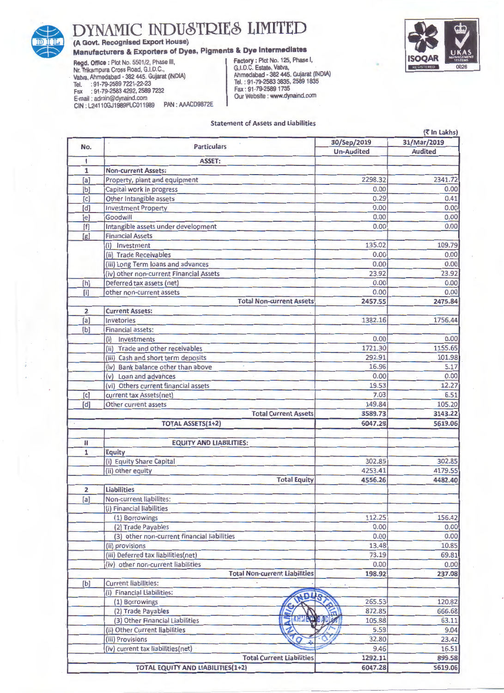

(A Govt. Recognised Export House)

Manufacturers & Exporters of Dyes, Pigments & Dye Intermediates<br>
Negd. Office : Plot No. 5501/2, Phase III,<br>
Nr. Trikampura Cross Road, G.I.D.C.,<br>
Nr. Trikampura Cross Road, G.I.D.C.,<br>
Vatva, Ahmedabad - 382 445. Gujarat ( Regd. Office: Plot No. 5501/2, Phase III, Nr. Trikampura Cross Road, G.I.D.C., Vatva, Ahmedabad - 382 445. Gujarat (INDIA) Tel. : 91-79-2589 7221-22-23 Tel. : 91-79-2583 3835, 2589 1835 Fax : 91-79-2583 4292, 2589 7232 Fax : 91 -79-2589 1735 E-mail : admin@dynaind.com Our Website : www.dynaind.com CIN : L24110GJ1989PLC011989 PAN : AAACD9872E



# Statement of Assets and Liabilities

|                |                                                 |                   | (て In Lakhs)   |  |
|----------------|-------------------------------------------------|-------------------|----------------|--|
| No.            | <b>Particulars</b>                              | 30/Sep/2019       | 31/Mar/2019    |  |
|                |                                                 | <b>Un-Audited</b> | <b>Audited</b> |  |
| ı              | <b>ASSET:</b>                                   |                   |                |  |
| $\mathbf{1}$   | <b>Non-current Assets:</b>                      |                   |                |  |
| [a]            | Property, plant and equipment                   | 2298.32           | 2341.72        |  |
| [b]            | Capital work in progress                        | 0.00              | 0.00           |  |
| [c]            | Other Intangible assets                         | 0.29              | 0.41           |  |
| [d]            | <b>Investment Property</b>                      | 0.00              | 0.00           |  |
| [e]            | Goodwill                                        | 0.00              | 0.00           |  |
| [f]            | Intangible assets under development             | 0.00              | 0.00           |  |
| [g]            | <b>Financial Assets</b>                         |                   |                |  |
|                | (i) Investment                                  | 135.02            | 109.79         |  |
|                | (ii) Trade Receivables                          | 0.00              | 0.00           |  |
|                | (iii) Long Term loans and advances              | 0.00              | 0.00           |  |
|                | (iv) other non-current Financial Assets         | 23.92             | 23.92          |  |
| [h]            | Deferred tax assets (net)                       | 0.00              | 0.00           |  |
| [i]            | other non-current assets                        | 0.00              | 0.00           |  |
|                | <b>Total Non-current Assets</b>                 | 2457.55           | 2475.84        |  |
| $\overline{2}$ | <b>Current Assets:</b>                          |                   |                |  |
| [a]            | Invetories                                      | 1382.16           | 1756.44        |  |
| [b]            | <b>Financial assets:</b>                        |                   |                |  |
|                | Investments<br>(i)                              | 0.00              | 0.00           |  |
|                | (ii) Trade and other receivables                | 1721.30           | 1155.65        |  |
|                | (iii) Cash and short term deposits              | 292.91            | 101.98         |  |
|                | (iv) Bank balance other than above              | 16.96             | 5.17           |  |
|                | (v) Loan and advances                           | 0.00              | 0.00           |  |
|                | (vi) Others current financial assets            | 19.53             | 12.27          |  |
| [c]            | current tax Assets(net)                         | 7.03              | 6.51           |  |
| [d]            | Other current assets                            | 149.84            | 105.20         |  |
|                | <b>Total Current Assets</b>                     | 3589.73           | 3143.22        |  |
|                | <b>TOTAL ASSETS(1+2)</b>                        | 6047.28           | 5619.06        |  |
|                |                                                 |                   |                |  |
| $\mathbf{H}$   | <b>EQUITY AND LIABILITIES:</b>                  |                   |                |  |
| $\mathbf{1}$   | <b>Equity</b>                                   |                   |                |  |
|                | (i) Equity Share Capital                        | 302.85            | 302.85         |  |
|                | (ii) other equity                               | 4253.41           | 4179.55        |  |
|                | <b>Total Equity</b>                             | 4556.26           | 4482.40        |  |
| $\overline{2}$ | <b>Liabilities</b>                              |                   |                |  |
| [a]            | Non-current liabilites:                         |                   |                |  |
|                | (i) Financial liabilities                       |                   |                |  |
|                | (1) Borrowings                                  | 112.25            | 156.42         |  |
|                | (2) Trade Payables                              | 0.00              | 0.00           |  |
|                | (3) other non-current financial liabilities     | 0.00              | 0.00           |  |
|                | (ii) provisions                                 | 13.48             | 10.85          |  |
|                | (iii) Deferred tax liabilities(net)             | 73.19             | 69.81          |  |
|                | (iv) other non-current liabilities              | 0.00              | 0.00           |  |
|                | <b>Total Non-current Liabilities</b>            | 198.92            | 237.08         |  |
| [b]            | <b>Current liabilities:</b>                     |                   |                |  |
|                | (i) Financial Liabilities:                      |                   |                |  |
|                | (1) Borrowings                                  | 265.53            | 120.82         |  |
|                | (2) Trade Payables                              | 872.85            | 666.68         |  |
|                | <b>AHHEO</b><br>(3) Other Financial Liabilities | BADLS<br>105.88   | 63.11          |  |
|                | (ii) Other Current liabilities                  | 5.59              | 9.04           |  |
|                | (iii) Provisions                                | 32.80             | 23.42          |  |
|                | (iv) current tax liabilities(net)               | 9.46              | 16.51          |  |
|                | <b>Total Current Liabilities</b>                | 1292.11           | 899.58         |  |
|                | <b>TOTAL EQUITY AND LIABILITIES(1+2)</b>        | 6047.28           | 5619.06        |  |